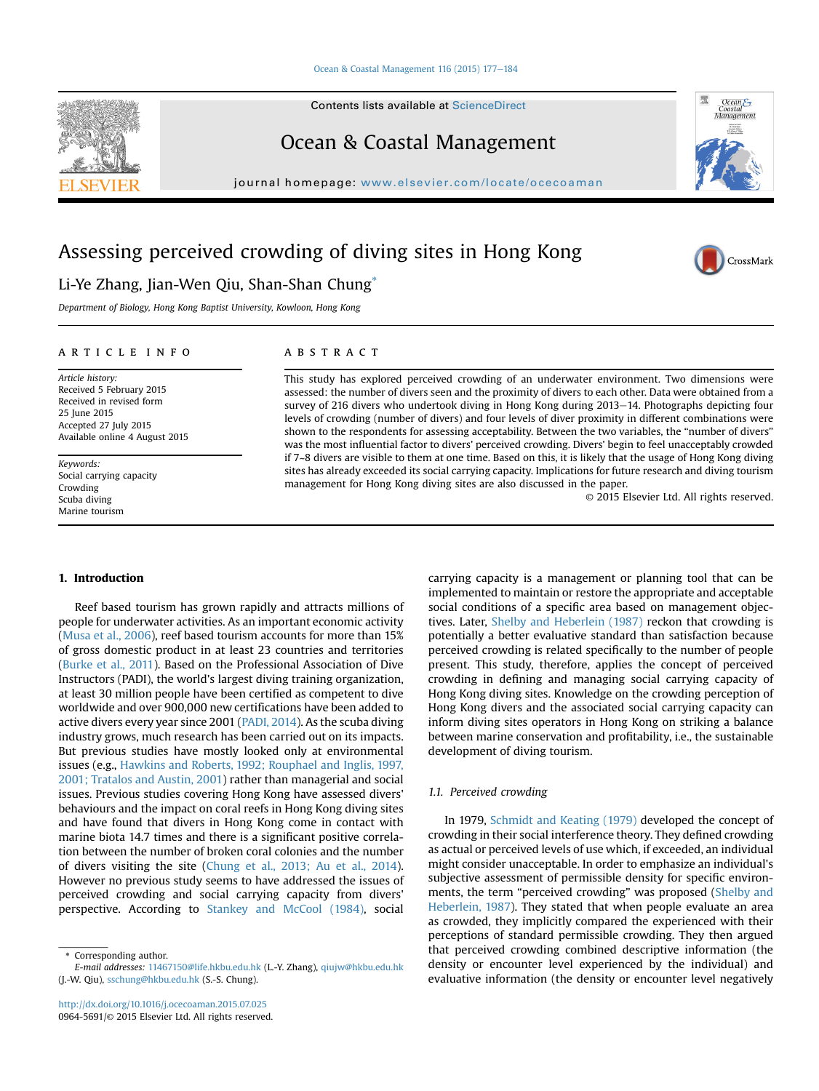#### [Ocean & Coastal Management 116 \(2015\) 177](http://dx.doi.org/10.1016/j.ocecoaman.2015.07.025)-[184](http://dx.doi.org/10.1016/j.ocecoaman.2015.07.025)

Contents lists available at ScienceDirect

## Ocean & Coastal Management

journal homepage: [www.elsevier.com/locate/ocecoaman](http://www.elsevier.com/locate/ocecoaman)

# Assessing perceived crowding of diving sites in Hong Kong

### Li-Ye Zhang, Jian-Wen Qiu, Shan-Shan Chung\*

Department of Biology, Hong Kong Baptist University, Kowloon, Hong Kong

#### article info

Article history: Received 5 February 2015 Received in revised form 25 June 2015 Accepted 27 July 2015 Available online 4 August 2015

Keywords: Social carrying capacity Crowding Scuba diving Marine tourism

#### **ABSTRACT**

This study has explored perceived crowding of an underwater environment. Two dimensions were assessed: the number of divers seen and the proximity of divers to each other. Data were obtained from a survey of 216 divers who undertook diving in Hong Kong during 2013-14. Photographs depicting four levels of crowding (number of divers) and four levels of diver proximity in different combinations were shown to the respondents for assessing acceptability. Between the two variables, the "number of divers" was the most influential factor to divers' perceived crowding. Divers' begin to feel unacceptably crowded if 7~8 divers are visible to them at one time. Based on this, it is likely that the usage of Hong Kong diving sites has already exceeded its social carrying capacity. Implications for future research and diving tourism management for Hong Kong diving sites are also discussed in the paper.

© 2015 Elsevier Ltd. All rights reserved.

#### 1. Introduction

Reef based tourism has grown rapidly and attracts millions of people for underwater activities. As an important economic activity (Musa et al., 2006), reef based tourism accounts for more than 15% of gross domestic product in at least 23 countries and territories (Burke et al., 2011). Based on the Professional Association of Dive Instructors (PADI), the world's largest diving training organization, at least 30 million people have been certified as competent to dive worldwide and over 900,000 new certifications have been added to active divers every year since 2001 (PADI, 2014). As the scuba diving industry grows, much research has been carried out on its impacts. But previous studies have mostly looked only at environmental issues (e.g., Hawkins and Roberts, 1992; Rouphael and Inglis, 1997, 2001; Tratalos and Austin, 2001) rather than managerial and social issues. Previous studies covering Hong Kong have assessed divers' behaviours and the impact on coral reefs in Hong Kong diving sites and have found that divers in Hong Kong come in contact with marine biota 14.7 times and there is a significant positive correlation between the number of broken coral colonies and the number of divers visiting the site (Chung et al., 2013; Au et al., 2014). However no previous study seems to have addressed the issues of perceived crowding and social carrying capacity from divers' perspective. According to Stankey and McCool (1984), social

carrying capacity is a management or planning tool that can be implemented to maintain or restore the appropriate and acceptable social conditions of a specific area based on management objectives. Later, Shelby and Heberlein (1987) reckon that crowding is potentially a better evaluative standard than satisfaction because perceived crowding is related specifically to the number of people present. This study, therefore, applies the concept of perceived crowding in defining and managing social carrying capacity of Hong Kong diving sites. Knowledge on the crowding perception of Hong Kong divers and the associated social carrying capacity can inform diving sites operators in Hong Kong on striking a balance between marine conservation and profitability, i.e., the sustainable development of diving tourism.

#### 1.1. Perceived crowding

In 1979, Schmidt and Keating (1979) developed the concept of crowding in their social interference theory. They defined crowding as actual or perceived levels of use which, if exceeded, an individual might consider unacceptable. In order to emphasize an individual's subjective assessment of permissible density for specific environments, the term "perceived crowding" was proposed (Shelby and Heberlein, 1987). They stated that when people evaluate an area as crowded, they implicitly compared the experienced with their perceptions of standard permissible crowding. They then argued that perceived crowding combined descriptive information (the density or encounter level experienced by the individual) and evaluative information (the density or encounter level negatively





CrossMark

<sup>\*</sup> Corresponding author.

E-mail addresses: [11467150@life.hkbu.edu.hk](mailto:11467150@life.hkbu.edu.hk) (L.-Y. Zhang), [qiujw@hkbu.edu.hk](mailto:qiujw@hkbu.edu.hk) (J.-W. Qiu), [sschung@hkbu.edu.hk](mailto:sschung@hkbu.edu.hk) (S.-S. Chung).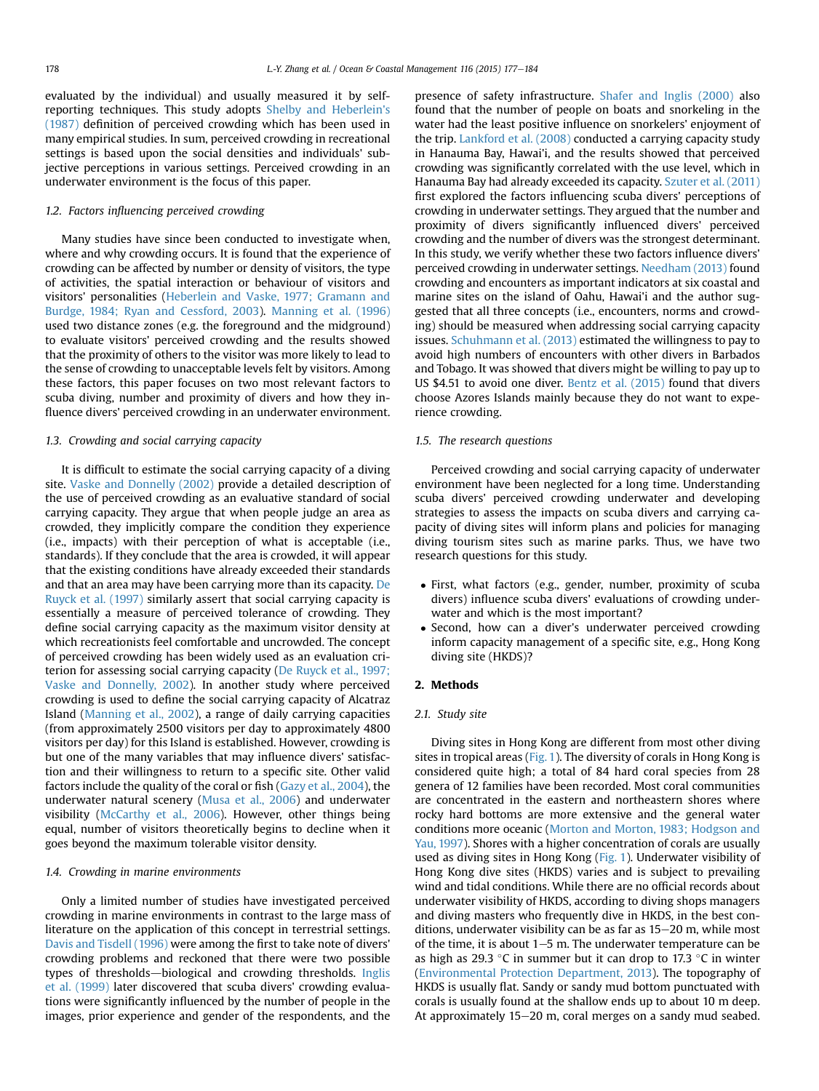evaluated by the individual) and usually measured it by selfreporting techniques. This study adopts Shelby and Heberlein's (1987) definition of perceived crowding which has been used in many empirical studies. In sum, perceived crowding in recreational settings is based upon the social densities and individuals' subjective perceptions in various settings. Perceived crowding in an underwater environment is the focus of this paper.

#### 1.2. Factors influencing perceived crowding

Many studies have since been conducted to investigate when, where and why crowding occurs. It is found that the experience of crowding can be affected by number or density of visitors, the type of activities, the spatial interaction or behaviour of visitors and visitors' personalities (Heberlein and Vaske, 1977; Gramann and Burdge, 1984; Ryan and Cessford, 2003). Manning et al. (1996) used two distance zones (e.g. the foreground and the midground) to evaluate visitors' perceived crowding and the results showed that the proximity of others to the visitor was more likely to lead to the sense of crowding to unacceptable levels felt by visitors. Among these factors, this paper focuses on two most relevant factors to scuba diving, number and proximity of divers and how they influence divers' perceived crowding in an underwater environment.

#### 1.3. Crowding and social carrying capacity

It is difficult to estimate the social carrying capacity of a diving site. Vaske and Donnelly (2002) provide a detailed description of the use of perceived crowding as an evaluative standard of social carrying capacity. They argue that when people judge an area as crowded, they implicitly compare the condition they experience (i.e., impacts) with their perception of what is acceptable (i.e., standards). If they conclude that the area is crowded, it will appear that the existing conditions have already exceeded their standards and that an area may have been carrying more than its capacity. De Ruyck et al. (1997) similarly assert that social carrying capacity is essentially a measure of perceived tolerance of crowding. They define social carrying capacity as the maximum visitor density at which recreationists feel comfortable and uncrowded. The concept of perceived crowding has been widely used as an evaluation criterion for assessing social carrying capacity (De Ruyck et al., 1997; Vaske and Donnelly, 2002). In another study where perceived crowding is used to define the social carrying capacity of Alcatraz Island (Manning et al., 2002), a range of daily carrying capacities (from approximately 2500 visitors per day to approximately 4800 visitors per day) for this Island is established. However, crowding is but one of the many variables that may influence divers' satisfaction and their willingness to return to a specific site. Other valid factors include the quality of the coral or fish (Gazy et al., 2004), the underwater natural scenery (Musa et al., 2006) and underwater visibility (McCarthy et al., 2006). However, other things being equal, number of visitors theoretically begins to decline when it goes beyond the maximum tolerable visitor density.

#### 1.4. Crowding in marine environments

Only a limited number of studies have investigated perceived crowding in marine environments in contrast to the large mass of literature on the application of this concept in terrestrial settings. Davis and Tisdell (1996) were among the first to take note of divers' crowding problems and reckoned that there were two possible types of thresholds-biological and crowding thresholds. Inglis et al. (1999) later discovered that scuba divers' crowding evaluations were significantly influenced by the number of people in the images, prior experience and gender of the respondents, and the presence of safety infrastructure. Shafer and Inglis (2000) also found that the number of people on boats and snorkeling in the water had the least positive influence on snorkelers' enjoyment of the trip. Lankford et al. (2008) conducted a carrying capacity study in Hanauma Bay, Hawai'i, and the results showed that perceived crowding was significantly correlated with the use level, which in Hanauma Bay had already exceeded its capacity. Szuter et al. (2011) first explored the factors influencing scuba divers' perceptions of crowding in underwater settings. They argued that the number and proximity of divers significantly influenced divers' perceived crowding and the number of divers was the strongest determinant. In this study, we verify whether these two factors influence divers' perceived crowding in underwater settings. Needham (2013) found crowding and encounters as important indicators at six coastal and marine sites on the island of Oahu, Hawai'i and the author suggested that all three concepts (i.e., encounters, norms and crowding) should be measured when addressing social carrying capacity issues. Schuhmann et al. (2013) estimated the willingness to pay to avoid high numbers of encounters with other divers in Barbados and Tobago. It was showed that divers might be willing to pay up to US \$4.51 to avoid one diver. Bentz et al. (2015) found that divers choose Azores Islands mainly because they do not want to experience crowding.

#### 1.5. The research questions

Perceived crowding and social carrying capacity of underwater environment have been neglected for a long time. Understanding scuba divers' perceived crowding underwater and developing strategies to assess the impacts on scuba divers and carrying capacity of diving sites will inform plans and policies for managing diving tourism sites such as marine parks. Thus, we have two research questions for this study.

- First, what factors (e.g., gender, number, proximity of scuba divers) influence scuba divers' evaluations of crowding underwater and which is the most important?
- Second, how can a diver's underwater perceived crowding inform capacity management of a specific site, e.g., Hong Kong diving site (HKDS)?

#### 2. Methods

#### 2.1. Study site

Diving sites in Hong Kong are different from most other diving sites in tropical areas (Fig. 1). The diversity of corals in Hong Kong is considered quite high; a total of 84 hard coral species from 28 genera of 12 families have been recorded. Most coral communities are concentrated in the eastern and northeastern shores where rocky hard bottoms are more extensive and the general water conditions more oceanic (Morton and Morton, 1983; Hodgson and Yau, 1997). Shores with a higher concentration of corals are usually used as diving sites in Hong Kong (Fig. 1). Underwater visibility of Hong Kong dive sites (HKDS) varies and is subject to prevailing wind and tidal conditions. While there are no official records about underwater visibility of HKDS, according to diving shops managers and diving masters who frequently dive in HKDS, in the best conditions, underwater visibility can be as far as  $15-20$  m, while most of the time, it is about  $1-5$  m. The underwater temperature can be as high as 29.3 °C in summer but it can drop to 17.3 °C in winter (Environmental Protection Department, 2013). The topography of HKDS is usually flat. Sandy or sandy mud bottom punctuated with corals is usually found at the shallow ends up to about 10 m deep. At approximately 15–20 m, coral merges on a sandy mud seabed.